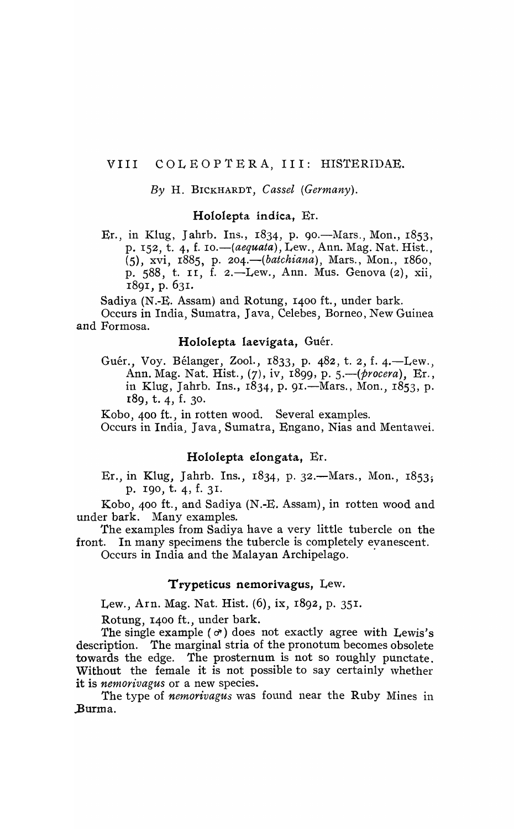### VIII COLEOPTERA, III: HISTERIDAE.

#### $By H. BICKHARDT, Cassel (Germany).$

### Hololepta indica, Er.

Er., in Klug, Jahrb. Ins.,  $1834$ , p. 90.—Mars., Mon.,  $1853$ , p. I52, t. 4, f. *10.-(aequata),* Lew., Ann. Mag. Nat. Rist., (5), xvi, 1885, p. 204. *(batchiana*), Mars., Mon., 1860, p. 588, t. II, f. 2.-Lew., Ann. Mus. Genova (2), xii, 1891, p. 631.

Sadiya (N.-E. Assam) and Rotung, 1400 ft., under bark.

Occurs in India, Sumatra, Java, Celebes, Borneo, New Guinea and Formosa.

#### Hololepta laevigata, Guér.

Guér., Voy. Bélanger, Zool., 1833, p. 482, t. 2, f. 4.-Lew., Ann. Mag. Nat. Hist., (7), iv, 1899, p. 5.-(procera), Er., in Klug, Jahrb. Ins.,  $1834$ , p. 91.—Mars., Mon.,  $1853$ , p. r8g, t. 4, f. 30.

Kobo, 400 ft., in rotten wood. Several examples.

Occurs in India, Java, Sumatra, Engano, Nias and Mentawei.

## Hololepta elongata, Er.

Er., in Klug, Jahrb. Ins.,  $1834$ , p. 32.—Mars., Mon.,  $1853$ ; p. IgO, t. 4, f. 3I.

Kobo, 400 ft., and Sadiya (N .-E. Assam), in rotten wood and under bark. Many examples.

The examples from Sadiya have a very little tubercle on the front. In many specimens the tubercle is completely evanescent.

Occurs in India and the Malayan Archipelago.

#### Trypeticus nemorivagus, Lew.

Lew., Arn. Mag. Nat. Hist. (6), ix, 1892, p. 351.

Rotung, 1400 ft., under bark.

The single example ( $\sigma$ ) does not exactly agree with Lewis's description. The marginal stria of the pronotum becomes obsolete towards the edge. The prosternum is not so roughly punctate. Without the female it is not possible to say certainly whether it is *nemorivagus* or a new species.

The type of *nemorivagus* was found near the Ruby Mines in .Burma.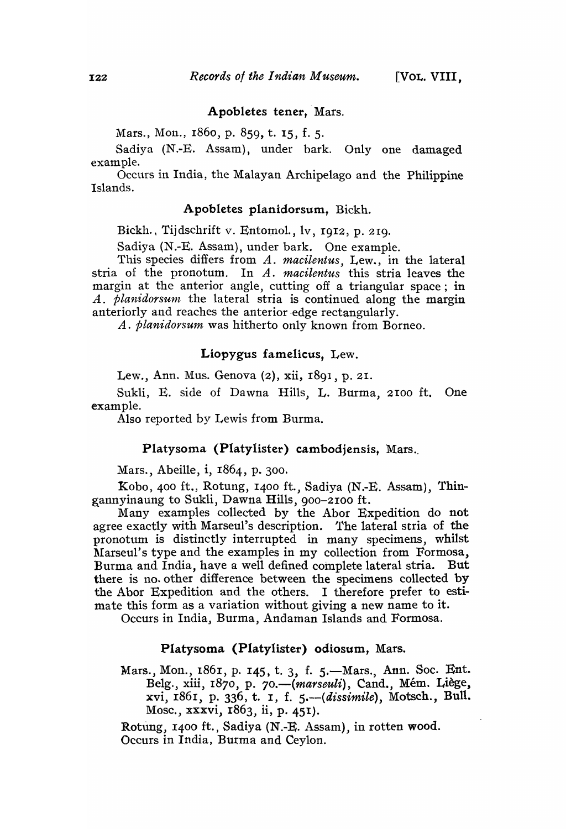#### Apobletes tener, Mars.

Mars., Mon., r860, p. 859, t. 15, f. S.

Sadiya (N.-E. Assam), under bark. Only one damaged example.

Occurs in India, the Malayan Archipelago and the Philippine Islands.

# Apobletes planidorsum. Bickh.

Bickh., Tijdschrift v. Entomol., lv, 1912, p. 219.

Sadiya (N.-E. Assam), under bark. One example.

This species differs from *A. macilentus,* Lew., in the lateral stria of the pronotum. In A. *macilentus* this stria leaves the margin at the anterior angle, cutting off a triangular space; in *A. planidorsunt* the lateral stria is continued along the margin anteriorly and reaches the anterior edge rectangularly.

*A. planidorsum* was hitherto only known from Borneo.

### Liopygus famelicus. Lew.

Lew., Ann. Mus. Genova (2), xii, 1891, p. 21.

Sukli, E. side of Dawna Hills, L. Burma, 2100 ft. One example.

Also reported by Lewis from Burma.

#### Platysoma (Platylister) cambodjensis, Mars.

Mars., Abeille, i, 1864, p. 300.

Kobo, 400 ft., Rotung, 1400 ft., Sadiya (N.-E. Assam), Thingannyinaung to Sukli, Dawna Hills, 900-2100 ft.

Many examples collected by the Abor Expedition do not agree exactly with Marseul's description. The lateral stria of the pronotum is distinctly interrupted in many specimens, whilst Marseul's type and the examples in my collection from Formosa, Burma and India, have a well defined complete lateral stria. But there is no. other difference between the specimens collected by the Abor Expedition and the others. I therefore prefer to estimate this form as a variation without giving a new name to it.

Occurs in India., Burma, Andaman Islands and Formosa.

#### Platysoma (Platylister) odiosum, Mars.

Mars., Mon., 1861, p. 145, t. 3, f. 5.—Mars., Ann. Soc. Ent. Belg., xiii, 1870, p. 70.—(marseuli), Cand., Mém. Liège, xvi, r861, p. 336, t. I, f. 5.--( *dissimile)*, Motsch., Bull. Mosc., xxxvi, I863, ii, p. 451).

Rotung, 1400 ft., Sadiya (N.-E. Assam), in rotten wood. Occurs in India, Burma and Ceylon.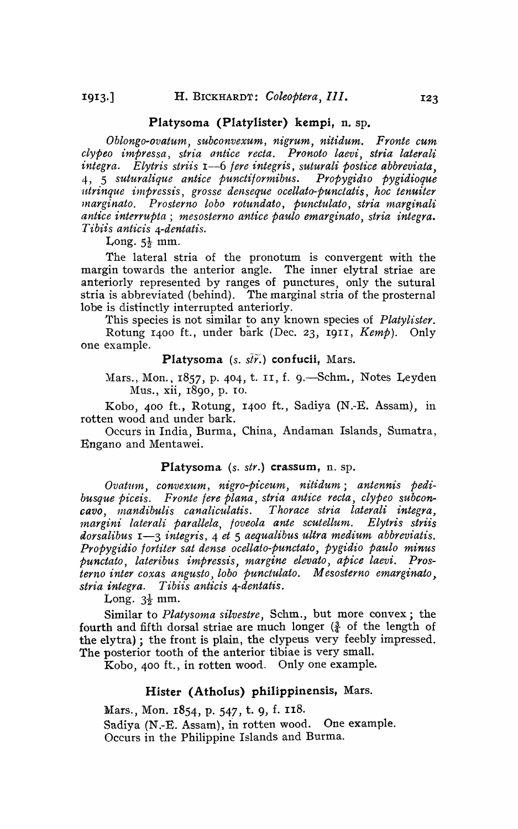#### Platysoma (Platylister) kempi, n. sp.

*Oblongo-ovatu1n, subconvexum, nigrum, nitidum. Fronte cum clypeo impressa, stria antice recta. Pronoto laevi, stria laterali integra. Elytris striis* 1-6 *jere integris, suturali postice abbreviata,*  4, 5 *suturalique antice punctijormibus. Propygid'lo pygidioque ditrinque impressis, grosse denseque ocellato-punctatis, hoc tenuiter Jl'zarginato. Pro sterno lobo rotundato, punctulato, stria 1narginali antice interrupta; mesosterno antice paulo emarginato, stria integra. Tibiis anticis 4-dentatis.* 

Long.  $5\frac{1}{2}$  mm.

The lateral stria of the pronotum is convergent with the margin towards the anterior angle. The inner elytral striae are anteriorly represented by ranges of punctures, only the sutural stria is abbreviated (behind). The marginal stria of the prosternal lobe is distinctly interrupted anteriorly.

This species is not similar to any known species of *Platylister*. Rotung 1400 ft., under bark (Dec. 23, I911, *Kemp).* Only one example.

Platysoma *(s. stv.)* confucii, Mars.

Mars., Mon., 1857, p. 404, t. II, f. 9.—Schm., Notes Leyden Mus., xii, 1890, p. ro.

Kobo, 400 ft., Rotung, I400 ft., Sadiya (N.-E. Assam), in rotten wood and under bark.

Occurs in India, Burma, China, Andaman Islands, Sumatra, Engano and Mentawei.

#### Platysoma (s. *str.*) **crassum**, n. sp.

Ovatum, convexum, nigro-piceum, nitidum; antennis pedi*busque piceis. Fronte jere plana, stria antice recta, clypeo subconcavo, 1nandibulis canaliculatis. Thorace stria laterali integra, margini laterali parallela, foveola ante scutellum. Elytris striis dorsalibus* 1-3 *integris,* 4 *et* 5 *aequalibus ultra medium abbreviatis. Propygidio lortiter sat dense ocellato-punctato, pygidio paulo minus punctato, lateribus impressis, margine elevato, apice laevi. Pros*terno inter coxas angusto, lobo punctulato. Mesosterno emarginato, *stria integra. Tibiis anticis 4-dentatis.* 

Long.  $3\frac{1}{2}$  mm.

Similar to *Platysoma silvestre,* Schm., but more convex; the fourth and fifth dorsal striae are much longer  $(\frac{3}{4}$  of the length of the elytra); the front is plain, the clypeus very feebly impressed. The posterior tooth of the anterior tibiae is very small.

Kobo, 400 ft., in rotten wood. Only one example.

## Hister (Atholus) philippinensis, Mars.

Mars., Mon. 1854, p. 547, t. 9, f. 118. Sadiya (N.-E. Assam), in rotten wood. One example. Occurs in the Philippine Islands and Burma.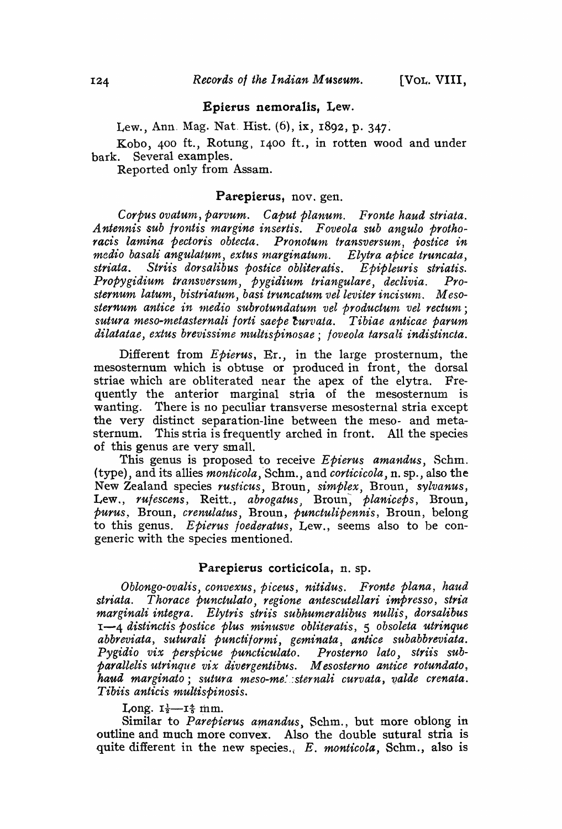#### Epierus nemoralis, Lew.

Lew., Ann. Mag. Nat. Hist.  $(6)$ , ix,  $1892$ , p. 347.

Kobo, 400 ft., Rotung, 1400 ft., in rotten wood and under bark. Several examples.

Reported only from Assam.

#### Parepierus, nov. gen.

*Corpus ovatum, parvum. Caput planum. Fronte haud striata. A ntennis sub frontis margine insertis. Foveola sub angulo protho*racis lamina pectoris obtecta. Pronotum transversum, postice in *medio basali angulatum, extus marginatum. Elytra apice truncata, striata. Striis dorsalibus postice obliteratis. Epipleuris striatis. Propygidium transversum, pygidium triangulare, declivia. Prosternum latum, bistriatum, basi truncatum velleviter incisunt. M eso*sternum antice in medio subrotundatum vel productum vel rectum; *sutura mesO-11tetasternali forti saepe* ~urvata. *Tibiae anticae parum*  dilatatae, extus brevissime multispinosae; foveola tarsali indistincta.

Different from *Epierus,* Er., in the large prosternum, the mesosternum which is obtuse or produced in front, the dorsal striae which are obliterated near the apex of the elytra. Frequently the anterior marginal stria of the mesosternum is wanting. There is no peculiar transverse mesosternal stria except the very distinct separation-line between the meso- and metasternum. This stria is frequently arched in front. All the species of this genus are very small.

This genus is proposed to receive *Epierus amandus,* Schm. (type), and its allies *monticola*, Schm., and *corticicola*, n. sp., also the New Zealand species *rusticus*, Broun, *simplex*, Broun, *sylvanus*, Lew., *rufescens*, Reitt., *abrogatus*, Broun, *planiceps*, Broun, *purus,* Broun, *crenulatus,* Broun, *punctulipennis,* Broun, belong to this genus. *Epierus foederatus,* Lew., seems also to be congeneric with the species mentioned.

# Parepierus corticicola, n. sp.

*Oblongo-ovalis, convexus, piceus, nitidus. Fronte plana, haud*  striata. Thorace punctulato, regione antescutellari impresso, stria *marginali integra. Elytris striis subhumeralibus nullis, dorsalibus*  I-4 *distinctis postice Plus minusve obliteratis,* 5 *obsoleta ut·yinque abbreviata, suturali punctiformi, geminata* ~ *antice subabbreviata.*  Pygidio vix perspicue puncticulato. Prosterno lato, striis sub*parallelis utrinque vix divergentibus. M esosterno antice rotunda to* , haud marginato; sutura meso-me! sternali curvata, valde crenata. *Tibiis anticis multispinosis.* 

#### Long.  $I_{\frac{1}{2}}$ - $I_{\frac{4}{5}}$  mm.

Similar to *Parepierus amandus*, Schm., but more oblong in outline and much more convex. Also the double sutural stria is quite different in the new species., *E. monticota,* Schm., also is